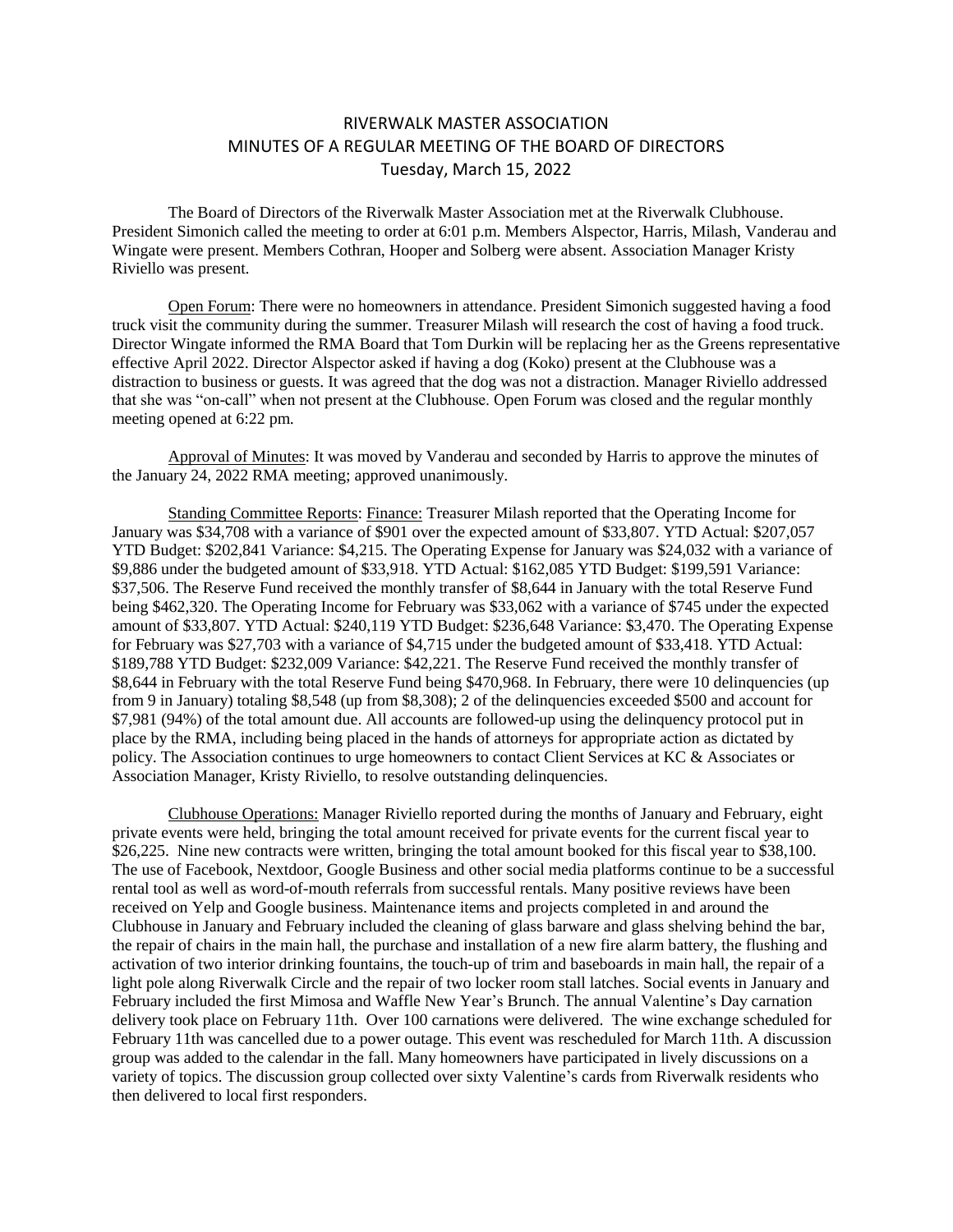## RIVERWALK MASTER ASSOCIATION MINUTES OF A REGULAR MEETING OF THE BOARD OF DIRECTORS Tuesday, March 15, 2022

The Board of Directors of the Riverwalk Master Association met at the Riverwalk Clubhouse. President Simonich called the meeting to order at 6:01 p.m. Members Alspector, Harris, Milash, Vanderau and Wingate were present. Members Cothran, Hooper and Solberg were absent. Association Manager Kristy Riviello was present.

Open Forum: There were no homeowners in attendance. President Simonich suggested having a food truck visit the community during the summer. Treasurer Milash will research the cost of having a food truck. Director Wingate informed the RMA Board that Tom Durkin will be replacing her as the Greens representative effective April 2022. Director Alspector asked if having a dog (Koko) present at the Clubhouse was a distraction to business or guests. It was agreed that the dog was not a distraction. Manager Riviello addressed that she was "on-call" when not present at the Clubhouse. Open Forum was closed and the regular monthly meeting opened at 6:22 pm.

Approval of Minutes: It was moved by Vanderau and seconded by Harris to approve the minutes of the January 24, 2022 RMA meeting; approved unanimously.

Standing Committee Reports: Finance: Treasurer Milash reported that the Operating Income for January was \$34,708 with a variance of \$901 over the expected amount of \$33,807. YTD Actual: \$207,057 YTD Budget: \$202,841 Variance: \$4,215. The Operating Expense for January was \$24,032 with a variance of \$9,886 under the budgeted amount of \$33,918. YTD Actual: \$162,085 YTD Budget: \$199,591 Variance: \$37,506. The Reserve Fund received the monthly transfer of \$8,644 in January with the total Reserve Fund being \$462,320. The Operating Income for February was \$33,062 with a variance of \$745 under the expected amount of \$33,807. YTD Actual: \$240,119 YTD Budget: \$236,648 Variance: \$3,470. The Operating Expense for February was \$27,703 with a variance of \$4,715 under the budgeted amount of \$33,418. YTD Actual: \$189,788 YTD Budget: \$232,009 Variance: \$42,221. The Reserve Fund received the monthly transfer of \$8,644 in February with the total Reserve Fund being \$470,968. In February, there were 10 delinquencies (up from 9 in January) totaling \$8,548 (up from \$8,308); 2 of the delinquencies exceeded \$500 and account for \$7,981 (94%) of the total amount due. All accounts are followed-up using the delinquency protocol put in place by the RMA, including being placed in the hands of attorneys for appropriate action as dictated by policy. The Association continues to urge homeowners to contact Client Services at KC & Associates or Association Manager, Kristy Riviello, to resolve outstanding delinquencies.

Clubhouse Operations: Manager Riviello reported during the months of January and February, eight private events were held, bringing the total amount received for private events for the current fiscal year to \$26,225. Nine new contracts were written, bringing the total amount booked for this fiscal year to \$38,100. The use of Facebook, Nextdoor, Google Business and other social media platforms continue to be a successful rental tool as well as word-of-mouth referrals from successful rentals. Many positive reviews have been received on Yelp and Google business. Maintenance items and projects completed in and around the Clubhouse in January and February included the cleaning of glass barware and glass shelving behind the bar, the repair of chairs in the main hall, the purchase and installation of a new fire alarm battery, the flushing and activation of two interior drinking fountains, the touch-up of trim and baseboards in main hall, the repair of a light pole along Riverwalk Circle and the repair of two locker room stall latches. Social events in January and February included the first Mimosa and Waffle New Year's Brunch. The annual Valentine's Day carnation delivery took place on February 11th. Over 100 carnations were delivered. The wine exchange scheduled for February 11th was cancelled due to a power outage. This event was rescheduled for March 11th. A discussion group was added to the calendar in the fall. Many homeowners have participated in lively discussions on a variety of topics. The discussion group collected over sixty Valentine's cards from Riverwalk residents who then delivered to local first responders.